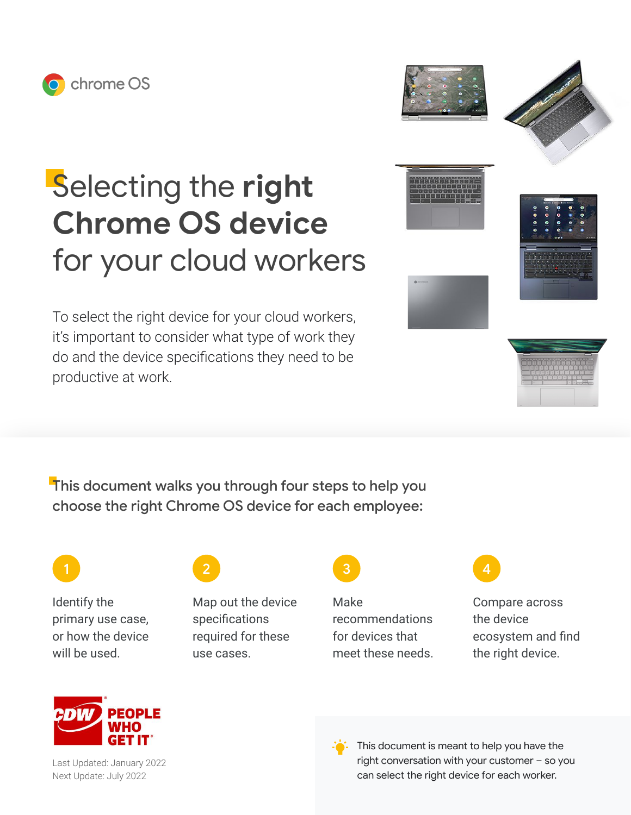





## Selecting the **right Chrome OS device** for your cloud workers

To select the right device for your cloud workers, it's important to consider what type of work they do and the device specifications they need to be productive at work.

This document walks you through four steps to help you choose the right Chrome OS device for each employee:

Identify the primary use case, or how the device will be used.



Map out the device specifications required for these use cases.



Make recommendations for devices that meet these needs.



Compare across the device ecosystem and find the right device.



Last Updated: January 2022 Next Update: July 2022



This document is meant to help you have the right conversation with your customer – so you can select the right device for each worker.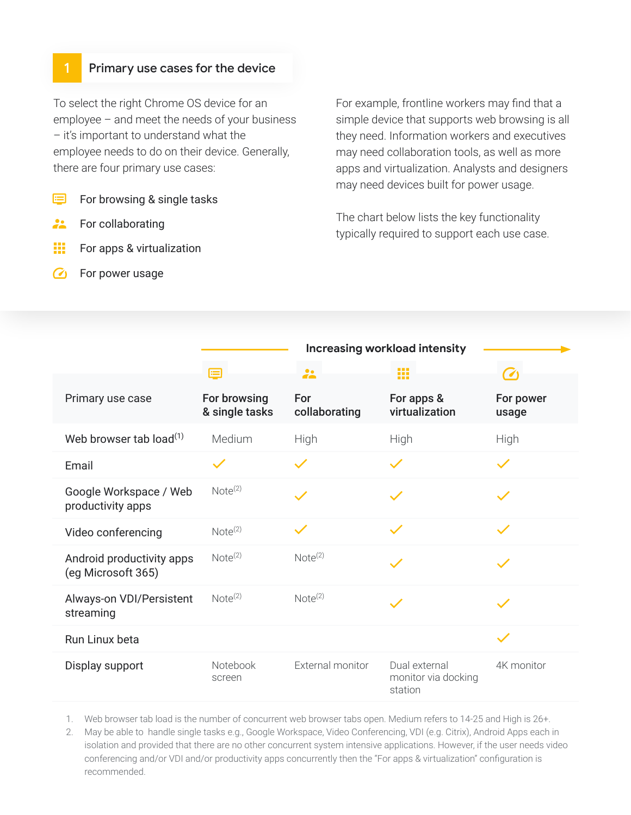## Primary use cases for the device

To select the right Chrome OS device for an employee – and meet the needs of your business – it's important to understand what the employee needs to do on their device. Generally, there are four primary use cases:

- 目 For browsing & single tasks
- $\mathbf{L}$ For collaborating
- W. For apps & virtualization
- G For power usage

For example, frontline workers may find that a simple device that supports web browsing is all they need. Information workers and executives may need collaboration tools, as well as more apps and virtualization. Analysts and designers may need devices built for power usage.

The chart below lists the key functionality typically required to support each use case.

|                                                 | <b>Increasing workload intensity</b> |                      |                                                 |                    |  |
|-------------------------------------------------|--------------------------------------|----------------------|-------------------------------------------------|--------------------|--|
|                                                 |                                      | $\ddot{\phantom{a}}$ | 靈                                               | $\epsilon$         |  |
| Primary use case                                | For browsing<br>& single tasks       | For<br>collaborating | For apps &<br>virtualization                    | For power<br>usage |  |
| Web browser tab load $^{(1)}$                   | Medium                               | High                 | High                                            | High               |  |
| Email                                           |                                      |                      |                                                 |                    |  |
| Google Workspace / Web<br>productivity apps     | Note <sup>(2)</sup>                  |                      |                                                 |                    |  |
| Video conferencing                              | Note <sup>(2)</sup>                  | $\checkmark$         |                                                 |                    |  |
| Android productivity apps<br>(eg Microsoft 365) | Note <sup>(2)</sup>                  | Note <sup>(2)</sup>  |                                                 |                    |  |
| Always-on VDI/Persistent<br>streaming           | Note <sup>(2)</sup>                  | Note <sup>(2)</sup>  |                                                 |                    |  |
| Run Linux beta                                  |                                      |                      |                                                 |                    |  |
| Display support                                 | Notebook<br>screen                   | External monitor     | Dual external<br>monitor via docking<br>station | 4K monitor         |  |

1. Web browser tab load is the number of concurrent web browser tabs open. Medium refers to 14-25 and High is 26+.

2. May be able to handle single tasks e.g., Google Workspace, Video Conferencing, VDI (e.g. Citrix), Android Apps each in isolation and provided that there are no other concurrent system intensive applications. However, if the user needs video conferencing and/or VDI and/or productivity apps concurrently then the "For apps & virtualization" configuration is recommended.